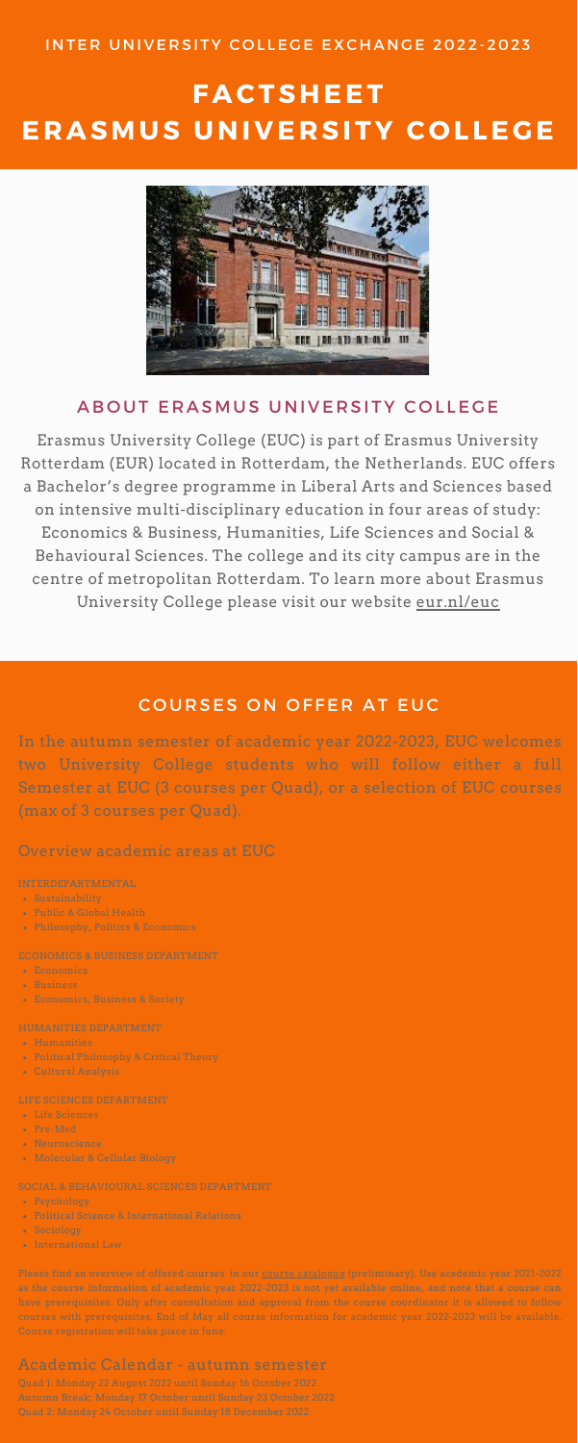Erasmus University College (EUC) is part of Erasmus University Rotterdam (EUR) located in Rotterdam, the Netherlands. EUC offers a Bachelor's degree programme in Liberal Arts and Sciences based on intensive multi-disciplinary education in four areas of study: Economics & Business, Humanities, Life Sciences and Social & Behavioural Sciences. The college and its city campus are in the centre of metropolitan Rotterdam. To learn more about Erasmus University College please visit our website [eur.nl/euc](http://www.eur.nl/euc)

#### COURSES ON OFFER AT EUC

- Sustainability
- Public & Global Health
- Philosophy, Politics & Economics

- Economics
- Business
- Economics, Business & Society

- Humanities
- Political Philosophy & Critical Theory
- Cultural Analysis

- Life Sciences
- Pre-Med
- Neuroscience
- Molecular & Cellular Biology

Please find an overview of offered courses in our **course [catalogue](https://eur.osiris-student.nl/#/onderwijscatalogus/extern/indeling/EUC_LAS_CORE)** (preliminary). Use academic year 2021-2022 as the course information of academic year 2022-2023 is not yet available online, and note that a course can have prerequisites. Only after consultation and approval from the course coordinator it is allowed to follow courses with prerequisites. End of May all course information for academic year 2022-2023 will be available. Course registration will take place in June.

In the autumn semester of academic year 2022-2023, EUC welcomes two University College students who will follow either a full Semester at EUC (3 courses per Quad), or a selection of EUC courses (max of 3 courses per Quad).

Overview academic areas at EUC

#### INTERDEPARTMENTAL

#### ECONOMICS & BUSINESS DEPARTMENT

#### HUMANITIES DEPARTMENT

#### LIFE SCIENCES DEPARTMENT

#### SOCIAL & BEHAVIOURAL SCIENCES DEPARTMENT

- Psychology
- Political Science & International Relations
- Sociology
- International Law

### Academic Calendar - autumn semester

Quad 1: Monday 22 August 2022 until Sunday 16 October 2022 Autumn Break: Monday 17 October until Sunday 23 October 2022 Quad 2: Monday 24 October until Sunday 18 December 2022

### INTER UNIVERSITY COLLEGE EXCHANGE 2022-2023

# **FACTSHEET E RASMUS UNI V E R SITY C O L LE G E**



### A BOUT ERASMUS UNIVERSITY COLLEGE